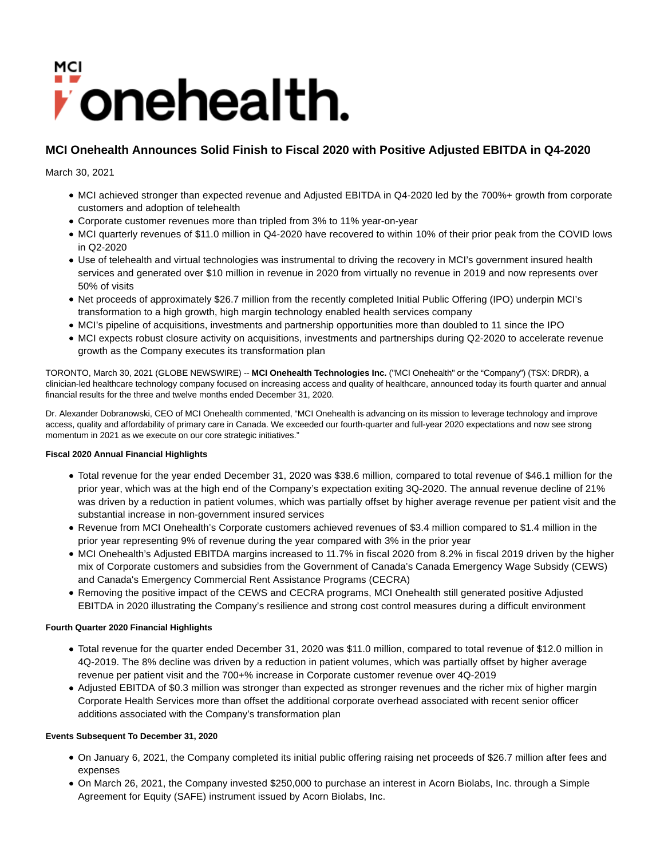# *i* onehealth.

# **MCI Onehealth Announces Solid Finish to Fiscal 2020 with Positive Adjusted EBITDA in Q4-2020**

March 30, 2021

- MCI achieved stronger than expected revenue and Adjusted EBITDA in Q4-2020 led by the 700%+ growth from corporate customers and adoption of telehealth
- Corporate customer revenues more than tripled from 3% to 11% year-on-year
- MCI quarterly revenues of \$11.0 million in Q4-2020 have recovered to within 10% of their prior peak from the COVID lows in Q2-2020
- Use of telehealth and virtual technologies was instrumental to driving the recovery in MCI's government insured health services and generated over \$10 million in revenue in 2020 from virtually no revenue in 2019 and now represents over 50% of visits
- Net proceeds of approximately \$26.7 million from the recently completed Initial Public Offering (IPO) underpin MCI's transformation to a high growth, high margin technology enabled health services company
- MCI's pipeline of acquisitions, investments and partnership opportunities more than doubled to 11 since the IPO
- MCI expects robust closure activity on acquisitions, investments and partnerships during Q2-2020 to accelerate revenue growth as the Company executes its transformation plan

TORONTO, March 30, 2021 (GLOBE NEWSWIRE) -- **MCI Onehealth Technologies Inc.** ("MCI Onehealth" or the "Company") (TSX: DRDR), a clinician-led healthcare technology company focused on increasing access and quality of healthcare, announced today its fourth quarter and annual financial results for the three and twelve months ended December 31, 2020.

Dr. Alexander Dobranowski, CEO of MCI Onehealth commented, "MCI Onehealth is advancing on its mission to leverage technology and improve access, quality and affordability of primary care in Canada. We exceeded our fourth-quarter and full-year 2020 expectations and now see strong momentum in 2021 as we execute on our core strategic initiatives."

# **Fiscal 2020 Annual Financial Highlights**

- Total revenue for the year ended December 31, 2020 was \$38.6 million, compared to total revenue of \$46.1 million for the prior year, which was at the high end of the Company's expectation exiting 3Q-2020. The annual revenue decline of 21% was driven by a reduction in patient volumes, which was partially offset by higher average revenue per patient visit and the substantial increase in non-government insured services
- Revenue from MCI Onehealth's Corporate customers achieved revenues of \$3.4 million compared to \$1.4 million in the prior year representing 9% of revenue during the year compared with 3% in the prior year
- MCI Onehealth's Adjusted EBITDA margins increased to 11.7% in fiscal 2020 from 8.2% in fiscal 2019 driven by the higher mix of Corporate customers and subsidies from the Government of Canada's Canada Emergency Wage Subsidy (CEWS) and Canada's Emergency Commercial Rent Assistance Programs (CECRA)
- Removing the positive impact of the CEWS and CECRA programs, MCI Onehealth still generated positive Adjusted EBITDA in 2020 illustrating the Company's resilience and strong cost control measures during a difficult environment

# **Fourth Quarter 2020 Financial Highlights**

- Total revenue for the quarter ended December 31, 2020 was \$11.0 million, compared to total revenue of \$12.0 million in 4Q-2019. The 8% decline was driven by a reduction in patient volumes, which was partially offset by higher average revenue per patient visit and the 700+% increase in Corporate customer revenue over 4Q-2019
- Adjusted EBITDA of \$0.3 million was stronger than expected as stronger revenues and the richer mix of higher margin Corporate Health Services more than offset the additional corporate overhead associated with recent senior officer additions associated with the Company's transformation plan

# **Events Subsequent To December 31, 2020**

- On January 6, 2021, the Company completed its initial public offering raising net proceeds of \$26.7 million after fees and expenses
- On March 26, 2021, the Company invested \$250,000 to purchase an interest in Acorn Biolabs, Inc. through a Simple Agreement for Equity (SAFE) instrument issued by Acorn Biolabs, Inc.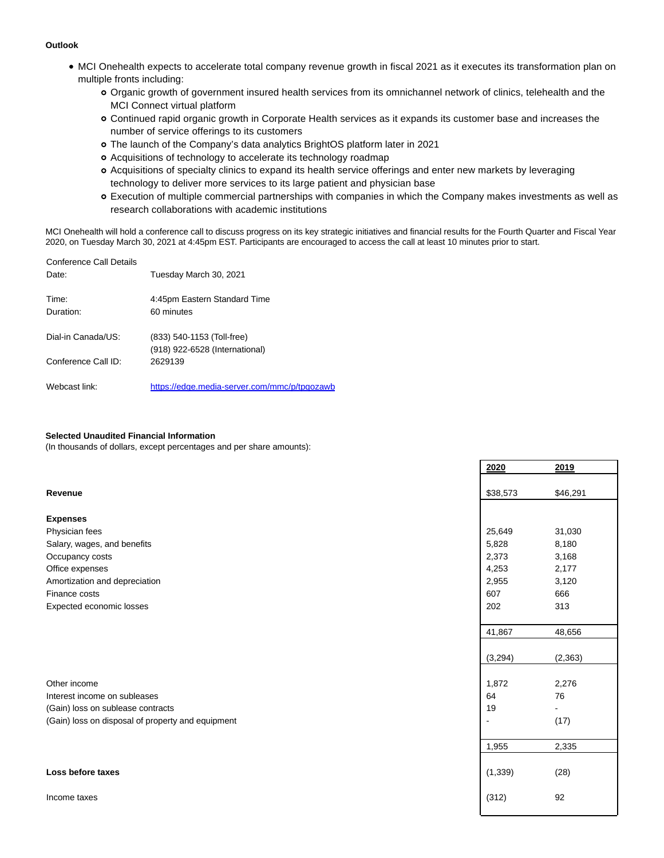#### **Outlook**

- MCI Onehealth expects to accelerate total company revenue growth in fiscal 2021 as it executes its transformation plan on multiple fronts including:
	- Organic growth of government insured health services from its omnichannel network of clinics, telehealth and the MCI Connect virtual platform
	- Continued rapid organic growth in Corporate Health services as it expands its customer base and increases the number of service offerings to its customers
	- The launch of the Company's data analytics BrightOS platform later in 2021
	- o Acquisitions of technology to accelerate its technology roadmap
	- Acquisitions of specialty clinics to expand its health service offerings and enter new markets by leveraging technology to deliver more services to its large patient and physician base
	- Execution of multiple commercial partnerships with companies in which the Company makes investments as well as research collaborations with academic institutions

MCI Onehealth will hold a conference call to discuss progress on its key strategic initiatives and financial results for the Fourth Quarter and Fiscal Year 2020, on Tuesday March 30, 2021 at 4:45pm EST. Participants are encouraged to access the call at least 10 minutes prior to start.

| Conference Call Details<br>Date: | Tuesday March 30, 2021                                       |
|----------------------------------|--------------------------------------------------------------|
| Time:<br>Duration:               | 4:45pm Eastern Standard Time<br>60 minutes                   |
| Dial-in Canada/US:               | (833) 540-1153 (Toll-free)<br>(918) 922-6528 (International) |
| Conference Call ID:              | 2629139                                                      |
| Webcast link:                    | https://edge.media-server.com/mmc/p/tpgozawb                 |

#### **Selected Unaudited Financial Information**

(In thousands of dollars, except percentages and per share amounts):

|                                                   | 2020     | 2019           |
|---------------------------------------------------|----------|----------------|
|                                                   |          |                |
| Revenue                                           | \$38,573 | \$46,291       |
|                                                   |          |                |
| <b>Expenses</b>                                   |          |                |
| Physician fees                                    | 25,649   | 31,030         |
| Salary, wages, and benefits                       | 5,828    | 8,180          |
| Occupancy costs                                   | 2,373    | 3,168          |
| Office expenses                                   | 4,253    | 2,177          |
| Amortization and depreciation                     | 2,955    | 3,120          |
| Finance costs                                     | 607      | 666            |
| Expected economic losses                          | 202      | 313            |
|                                                   |          |                |
|                                                   | 41,867   | 48,656         |
|                                                   |          |                |
|                                                   | (3,294)  | (2, 363)       |
|                                                   |          |                |
| Other income                                      | 1,872    | 2,276          |
| Interest income on subleases                      | 64       | 76             |
| (Gain) loss on sublease contracts                 | 19       | $\overline{a}$ |
| (Gain) loss on disposal of property and equipment | L,       | (17)           |
|                                                   |          |                |
|                                                   | 1,955    | 2,335          |
|                                                   |          |                |
| Loss before taxes                                 | (1, 339) | (28)           |
| Income taxes                                      | (312)    | 92             |
|                                                   |          |                |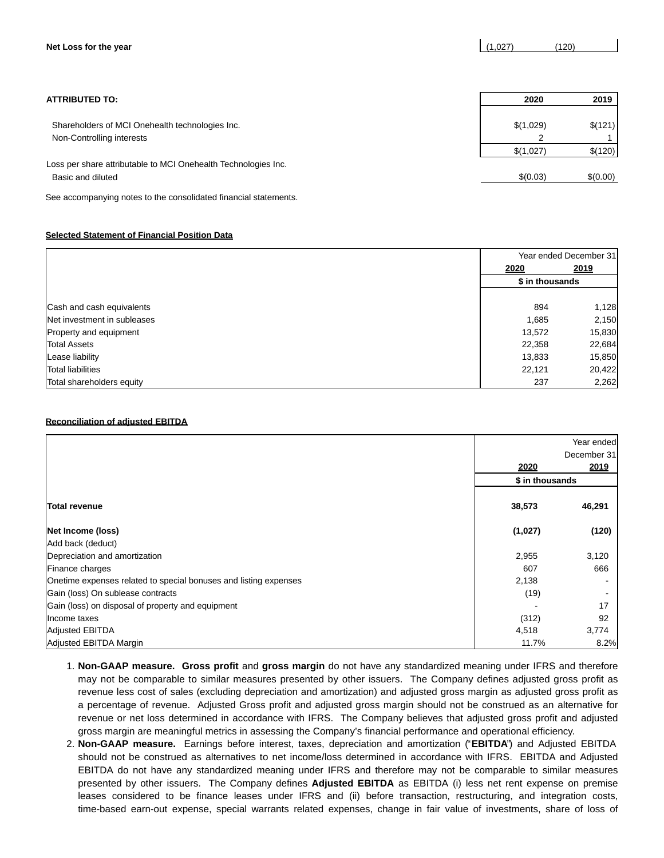| Net Loss for the year                                                        | (1,027)        | (120)    |
|------------------------------------------------------------------------------|----------------|----------|
| <b>ATTRIBUTED TO:</b>                                                        | 2020           | 2019     |
| Shareholders of MCI Onehealth technologies Inc.<br>Non-Controlling interests | \$(1,029)<br>っ | \$(121)  |
| Loss per share attributable to MCI Onehealth Technologies Inc.               | \$(1,027)      | \$(120)  |
| Basic and diluted                                                            | \$(0.03)       | \$(0.00) |

 $\mathbf{r}$ 

See accompanying notes to the consolidated financial statements.

# **Selected Statement of Financial Position Data**

|                             | Year ended December 31 |        |
|-----------------------------|------------------------|--------|
|                             | 2020                   | 2019   |
|                             | \$ in thousands        |        |
|                             |                        |        |
| Cash and cash equivalents   | 894                    | 1,128  |
| Net investment in subleases | 1,685                  | 2,150  |
| Property and equipment      | 13,572                 | 15,830 |
| <b>Total Assets</b>         | 22,358                 | 22,684 |
| Lease liability             | 13,833                 | 15,850 |
| <b>Total liabilities</b>    | 22,121                 | 20,422 |
| Total shareholders equity   | 237                    | 2,262  |

#### **Reconciliation of adjusted EBITDA**

|                                                                  |                 | Year ended<br>December 31 |
|------------------------------------------------------------------|-----------------|---------------------------|
|                                                                  | 2020            | 2019                      |
|                                                                  | \$ in thousands |                           |
|                                                                  |                 |                           |
| <b>Total revenue</b>                                             | 38,573          | 46,291                    |
| Net Income (loss)                                                | (1,027)         | (120)                     |
| Add back (deduct)                                                |                 |                           |
| Depreciation and amortization                                    | 2,955           | 3,120                     |
| Finance charges                                                  | 607             | 666                       |
| Onetime expenses related to special bonuses and listing expenses | 2,138           |                           |
| Gain (loss) On sublease contracts                                | (19)            |                           |
| Gain (loss) on disposal of property and equipment                |                 | 17                        |
| Income taxes                                                     | (312)           | 92                        |
| <b>Adjusted EBITDA</b>                                           | 4,518           | 3,774                     |
| Adjusted EBITDA Margin                                           | 11.7%           | 8.2%                      |

- **Non-GAAP measure. Gross profit** and **gross margin** do not have any standardized meaning under IFRS and therefore 1. may not be comparable to similar measures presented by other issuers. The Company defines adjusted gross profit as revenue less cost of sales (excluding depreciation and amortization) and adjusted gross margin as adjusted gross profit as a percentage of revenue. Adjusted Gross profit and adjusted gross margin should not be construed as an alternative for revenue or net loss determined in accordance with IFRS. The Company believes that adjusted gross profit and adjusted gross margin are meaningful metrics in assessing the Company's financial performance and operational efficiency.
- **Non-GAAP measure.** Earnings before interest, taxes, depreciation and amortization ("**EBITDA**") and Adjusted EBITDA 2. should not be construed as alternatives to net income/loss determined in accordance with IFRS. EBITDA and Adjusted EBITDA do not have any standardized meaning under IFRS and therefore may not be comparable to similar measures presented by other issuers. The Company defines **Adjusted EBITDA** as EBITDA (i) less net rent expense on premise leases considered to be finance leases under IFRS and (ii) before transaction, restructuring, and integration costs, time-based earn-out expense, special warrants related expenses, change in fair value of investments, share of loss of